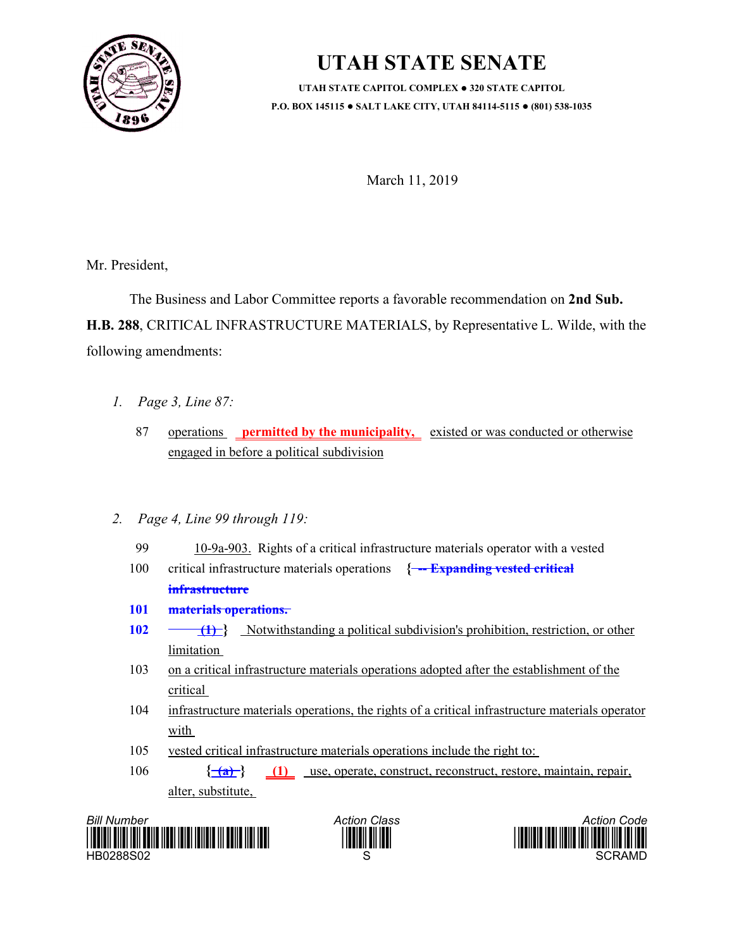

## **UTAH STATE SENATE**

**UTAH STATE CAPITOL COMPLEX** ! **320 STATE CAPITOL P.O. BOX 145115** ! **SALT LAKE CITY, UTAH 84114-5115** ! **(801) 538-1035**

March 11, 2019

Mr. President,

 The Business and Labor Committee reports a favorable recommendation on **2nd Sub. H.B. 288**, CRITICAL INFRASTRUCTURE MATERIALS, by Representative L. Wilde, with the following amendments:

- *1. Page 3, Line 87:*
	- 87 operations **permitted by the municipality,** existed or was conducted or otherwise engaged in before a political subdivision
- *2. Page 4, Line 99 through 119:*
	- 99 10-9a-903. Rights of a critical infrastructure materials operator with a vested
	- 100 critical infrastructure materials operations **{ -- Expanding vested critical infrastructure**
	- **101 materials operations.**
	- 102 <del>(1)</del> **}** Notwithstanding a political subdivision's prohibition, restriction, or other limitation
	- 103 on a critical infrastructure materials operations adopted after the establishment of the critical
	- 104 infrastructure materials operations, the rights of a critical infrastructure materials operator with
	- 105 vested critical infrastructure materials operations include the right to:
	- 106  $\{\frac{1}{a}\}$  (1) use, operate, construct, reconstruct, restore, maintain, repair, alter, substitute,





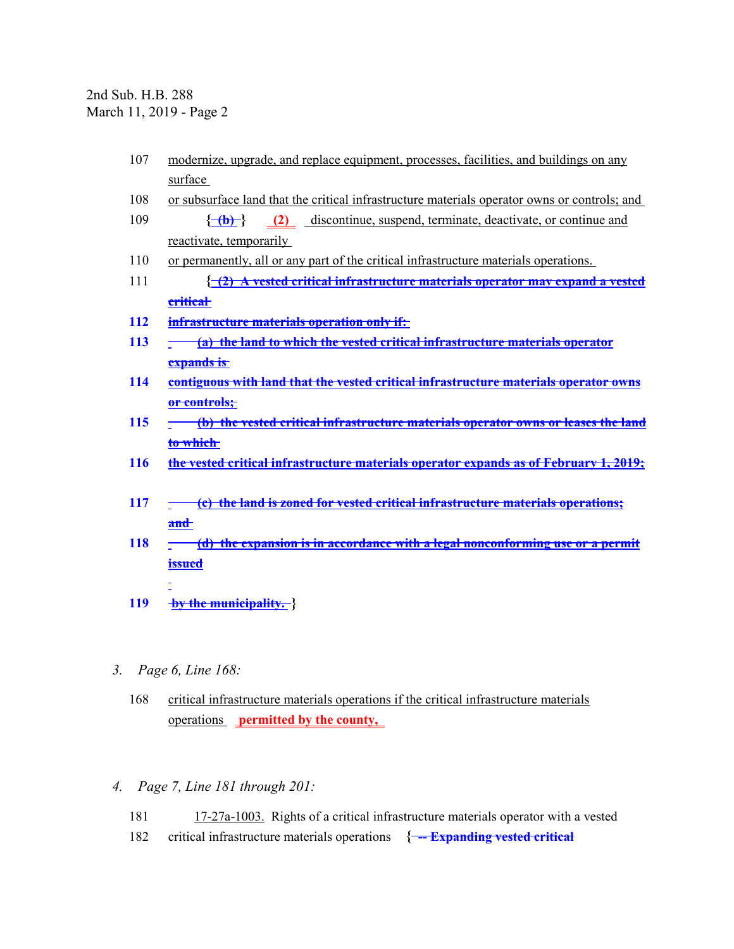- 107 modernize, upgrade, and replace equipment, processes, facilities, and buildings on any surface
- 108 or subsurface land that the critical infrastructure materials operator owns or controls; and
- 109 **{ (b) } (2)** discontinue, suspend, terminate, deactivate, or continue and reactivate, temporarily
- 110 or permanently, all or any part of the critical infrastructure materials operations.
- 111 **{ (2) A vested critical infrastructure materials operator may expand a vested critical**
- **112 infrastructure materials operation only if:**
- **113 <u>and to which the vested critical infrastructure materials operator</u> expands is**
- **114 contiguous with land that the vested critical infrastructure materials operator owns or controls;**
- **115 (b) the vested critical infrastructure materials operator owns or leases the land to which**
- **116 the vested critical infrastructure materials operator expands as of February 1, 2019;**
- **117 (c) the land is zoned for vested critical infrastructure materials operations; and**
- **118 (d)** the expansion is in accordance with a legal nonconforming use or a permit **issued**
- **119 by the municipality. }**
- *3. Page 6, Line 168:*
	- 168 critical infrastructure materials operations if the critical infrastructure materials operations **permitted by the county,**
- *4. Page 7, Line 181 through 201:*
	- 181 17-27a-1003. Rights of a critical infrastructure materials operator with a vested 182 critical infrastructure materials operations **{ -- Expanding vested critical**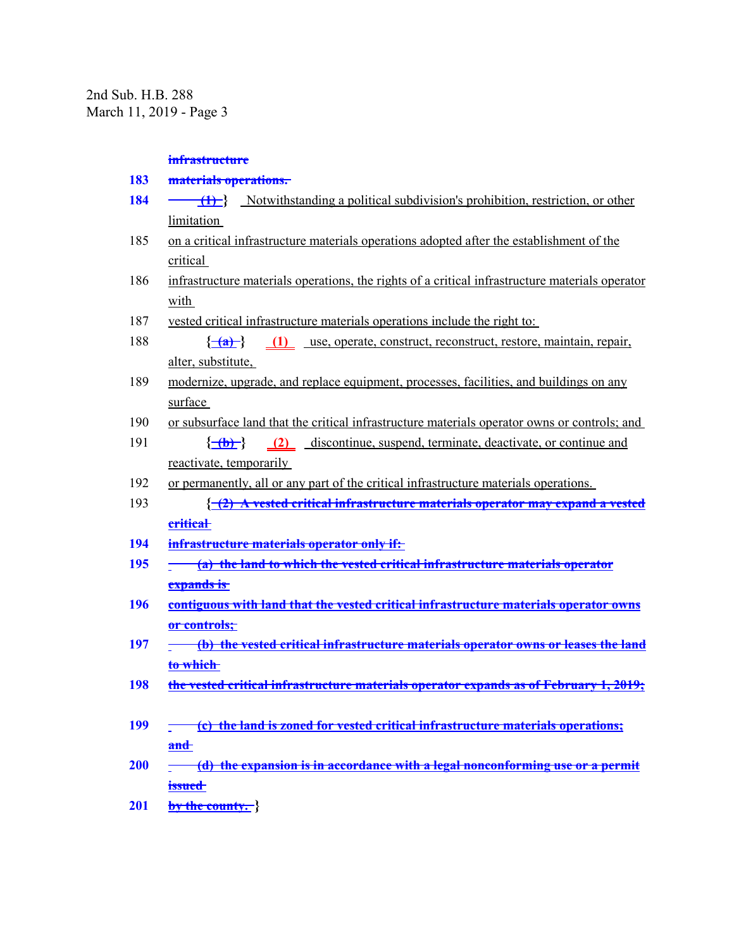## **infrastructure**

## **183 materials operations.**

- **184** <del>(1)</del> **}** Notwithstanding a political subdivision's prohibition, restriction, or other limitation
- 185 on a critical infrastructure materials operations adopted after the establishment of the critical
- 186 infrastructure materials operations, the rights of a critical infrastructure materials operator with
- 187 vested critical infrastructure materials operations include the right to:
- 188  $\{\text{a}}\}$  (1) use, operate, construct, reconstruct, restore, maintain, repair, alter, substitute,
- 189 modernize, upgrade, and replace equipment, processes, facilities, and buildings on any surface
- 190 or subsurface land that the critical infrastructure materials operator owns or controls; and
- 191 **{ (b) } (2)** discontinue, suspend, terminate, deactivate, or continue and reactivate, temporarily
- 192 or permanently, all or any part of the critical infrastructure materials operations.
- 193 **{ (2) A vested critical infrastructure materials operator may expand a vested critical**
- **194 infrastructure materials operator only if:**
- **195 (a) the land to which the vested critical infrastructure materials operator expands is**
- **196 contiguous with land that the vested critical infrastructure materials operator owns or controls;**
- **197 (b) the vested critical infrastructure materials operator owns or leases the land to which**
- **198 the vested critical infrastructure materials operator expands as of February 1, 2019;**
- **199 (c) the land is zoned for vested critical infrastructure materials operations; and**
- **200 (d) the expansion is in accordance with a legal nonconforming use or a permit issued**
- **201 by the county. }**